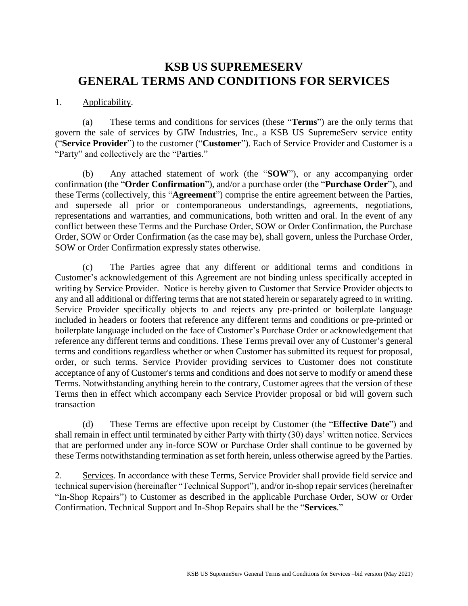# **KSB US SUPREMESERV GENERAL TERMS AND CONDITIONS FOR SERVICES**

#### 1. Applicability.

(a) These terms and conditions for services (these "**Terms**") are the only terms that govern the sale of services by GIW Industries, Inc., a KSB US SupremeServ service entity ("**Service Provider**") to the customer ("**Customer**"). Each of Service Provider and Customer is a "Party" and collectively are the "Parties."

(b) Any attached statement of work (the "**SOW**"), or any accompanying order confirmation (the "**Order Confirmation**"), and/or a purchase order (the "**Purchase Order**"), and these Terms (collectively, this "**Agreement**") comprise the entire agreement between the Parties, and supersede all prior or contemporaneous understandings, agreements, negotiations, representations and warranties, and communications, both written and oral. In the event of any conflict between these Terms and the Purchase Order, SOW or Order Confirmation, the Purchase Order, SOW or Order Confirmation (as the case may be), shall govern, unless the Purchase Order, SOW or Order Confirmation expressly states otherwise.

(c) The Parties agree that any different or additional terms and conditions in Customer's acknowledgement of this Agreement are not binding unless specifically accepted in writing by Service Provider. Notice is hereby given to Customer that Service Provider objects to any and all additional or differing terms that are not stated herein or separately agreed to in writing. Service Provider specifically objects to and rejects any pre-printed or boilerplate language included in headers or footers that reference any different terms and conditions or pre-printed or boilerplate language included on the face of Customer's Purchase Order or acknowledgement that reference any different terms and conditions. These Terms prevail over any of Customer's general terms and conditions regardless whether or when Customer has submitted its request for proposal, order, or such terms. Service Provider providing services to Customer does not constitute acceptance of any of Customer's terms and conditions and does not serve to modify or amend these Terms. Notwithstanding anything herein to the contrary, Customer agrees that the version of these Terms then in effect which accompany each Service Provider proposal or bid will govern such transaction

(d) These Terms are effective upon receipt by Customer (the "**Effective Date**") and shall remain in effect until terminated by either Party with thirty (30) days' written notice. Services that are performed under any in-force SOW or Purchase Order shall continue to be governed by these Terms notwithstanding termination as set forth herein, unless otherwise agreed by the Parties.

2. Services. In accordance with these Terms, Service Provider shall provide field service and technical supervision (hereinafter "Technical Support"), and/or in-shop repair services (hereinafter "In-Shop Repairs") to Customer as described in the applicable Purchase Order, SOW or Order Confirmation. Technical Support and In-Shop Repairs shall be the "**Services**."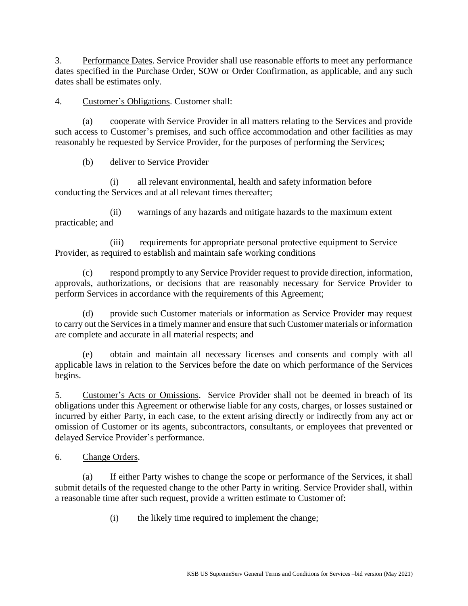3. Performance Dates. Service Provider shall use reasonable efforts to meet any performance dates specified in the Purchase Order, SOW or Order Confirmation, as applicable, and any such dates shall be estimates only.

4. Customer's Obligations. Customer shall:

(a) cooperate with Service Provider in all matters relating to the Services and provide such access to Customer's premises, and such office accommodation and other facilities as may reasonably be requested by Service Provider, for the purposes of performing the Services;

(b) deliver to Service Provider

(i) all relevant environmental, health and safety information before conducting the Services and at all relevant times thereafter;

(ii) warnings of any hazards and mitigate hazards to the maximum extent practicable; and

(iii) requirements for appropriate personal protective equipment to Service Provider, as required to establish and maintain safe working conditions

(c) respond promptly to any Service Provider request to provide direction, information, approvals, authorizations, or decisions that are reasonably necessary for Service Provider to perform Services in accordance with the requirements of this Agreement;

(d) provide such Customer materials or information as Service Provider may request to carry out the Services in a timely manner and ensure that such Customer materials or information are complete and accurate in all material respects; and

(e) obtain and maintain all necessary licenses and consents and comply with all applicable laws in relation to the Services before the date on which performance of the Services begins.

5. Customer's Acts or Omissions. Service Provider shall not be deemed in breach of its obligations under this Agreement or otherwise liable for any costs, charges, or losses sustained or incurred by either Party, in each case, to the extent arising directly or indirectly from any act or omission of Customer or its agents, subcontractors, consultants, or employees that prevented or delayed Service Provider's performance.

6. Change Orders.

(a) If either Party wishes to change the scope or performance of the Services, it shall submit details of the requested change to the other Party in writing. Service Provider shall, within a reasonable time after such request, provide a written estimate to Customer of:

(i) the likely time required to implement the change;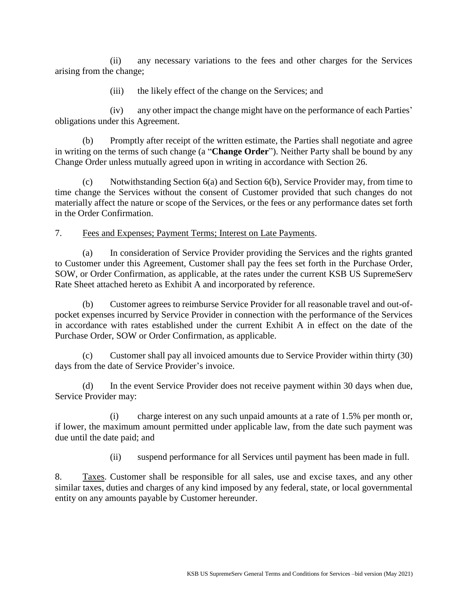(ii) any necessary variations to the fees and other charges for the Services arising from the change;

(iii) the likely effect of the change on the Services; and

(iv) any other impact the change might have on the performance of each Parties' obligations under this Agreement.

(b) Promptly after receipt of the written estimate, the Parties shall negotiate and agree in writing on the terms of such change (a "**Change Order**"). Neither Party shall be bound by any Change Order unless mutually agreed upon in writing in accordance with [Section 26.](#page-8-0)

(c) Notwithstanding Section 6(a) and Section 6(b), Service Provider may, from time to time change the Services without the consent of Customer provided that such changes do not materially affect the nature or scope of the Services, or the fees or any performance dates set forth in the Order Confirmation.

7. Fees and Expenses; Payment Terms; Interest on Late Payments.

(a) In consideration of Service Provider providing the Services and the rights granted to Customer under this Agreement, Customer shall pay the fees set forth in the Purchase Order, SOW, or Order Confirmation, as applicable, at the rates under the current KSB US SupremeServ Rate Sheet attached hereto as Exhibit A and incorporated by reference.

(b) Customer agrees to reimburse Service Provider for all reasonable travel and out-ofpocket expenses incurred by Service Provider in connection with the performance of the Services in accordance with rates established under the current Exhibit A in effect on the date of the Purchase Order, SOW or Order Confirmation, as applicable.

(c) Customer shall pay all invoiced amounts due to Service Provider within thirty (30) days from the date of Service Provider's invoice.

(d) In the event Service Provider does not receive payment within 30 days when due, Service Provider may:

(i) charge interest on any such unpaid amounts at a rate of 1.5% per month or, if lower, the maximum amount permitted under applicable law, from the date such payment was due until the date paid; and

(ii) suspend performance for all Services until payment has been made in full.

8. Taxes. Customer shall be responsible for all sales, use and excise taxes, and any other similar taxes, duties and charges of any kind imposed by any federal, state, or local governmental entity on any amounts payable by Customer hereunder.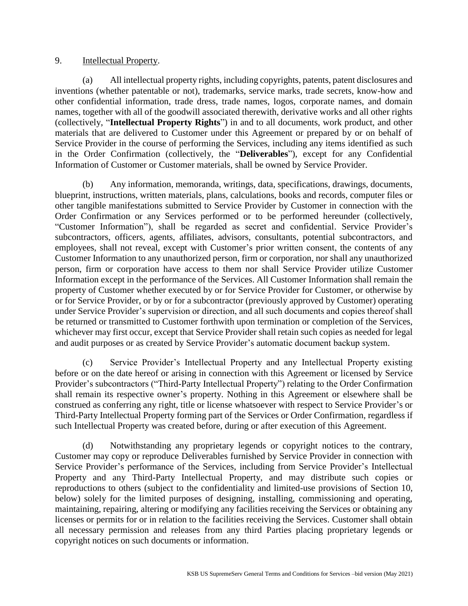#### 9. Intellectual Property.

(a) All intellectual property rights, including copyrights, patents, patent disclosures and inventions (whether patentable or not), trademarks, service marks, trade secrets, know-how and other confidential information, trade dress, trade names, logos, corporate names, and domain names, together with all of the goodwill associated therewith, derivative works and all other rights (collectively, "**Intellectual Property Rights**") in and to all documents, work product, and other materials that are delivered to Customer under this Agreement or prepared by or on behalf of Service Provider in the course of performing the Services, including any items identified as such in the Order Confirmation (collectively, the "**Deliverables**"), except for any Confidential Information of Customer or Customer materials, shall be owned by Service Provider.

(b) Any information, memoranda, writings, data, specifications, drawings, documents, blueprint, instructions, written materials, plans, calculations, books and records, computer files or other tangible manifestations submitted to Service Provider by Customer in connection with the Order Confirmation or any Services performed or to be performed hereunder (collectively, "Customer Information"), shall be regarded as secret and confidential. Service Provider's subcontractors, officers, agents, affiliates, advisors, consultants, potential subcontractors, and employees, shall not reveal, except with Customer's prior written consent, the contents of any Customer Information to any unauthorized person, firm or corporation, nor shall any unauthorized person, firm or corporation have access to them nor shall Service Provider utilize Customer Information except in the performance of the Services. All Customer Information shall remain the property of Customer whether executed by or for Service Provider for Customer, or otherwise by or for Service Provider, or by or for a subcontractor (previously approved by Customer) operating under Service Provider's supervision or direction, and all such documents and copies thereof shall be returned or transmitted to Customer forthwith upon termination or completion of the Services, whichever may first occur, except that Service Provider shall retain such copies as needed for legal and audit purposes or as created by Service Provider's automatic document backup system.

(c) Service Provider's Intellectual Property and any Intellectual Property existing before or on the date hereof or arising in connection with this Agreement or licensed by Service Provider's subcontractors ("Third-Party Intellectual Property") relating to the Order Confirmation shall remain its respective owner's property. Nothing in this Agreement or elsewhere shall be construed as conferring any right, title or license whatsoever with respect to Service Provider's or Third-Party Intellectual Property forming part of the Services or Order Confirmation, regardless if such Intellectual Property was created before, during or after execution of this Agreement.

(d) Notwithstanding any proprietary legends or copyright notices to the contrary, Customer may copy or reproduce Deliverables furnished by Service Provider in connection with Service Provider's performance of the Services, including from Service Provider's Intellectual Property and any Third-Party Intellectual Property, and may distribute such copies or reproductions to others (subject to the confidentiality and limited-use provisions of Section 10, below) solely for the limited purposes of designing, installing, commissioning and operating, maintaining, repairing, altering or modifying any facilities receiving the Services or obtaining any licenses or permits for or in relation to the facilities receiving the Services. Customer shall obtain all necessary permission and releases from any third Parties placing proprietary legends or copyright notices on such documents or information.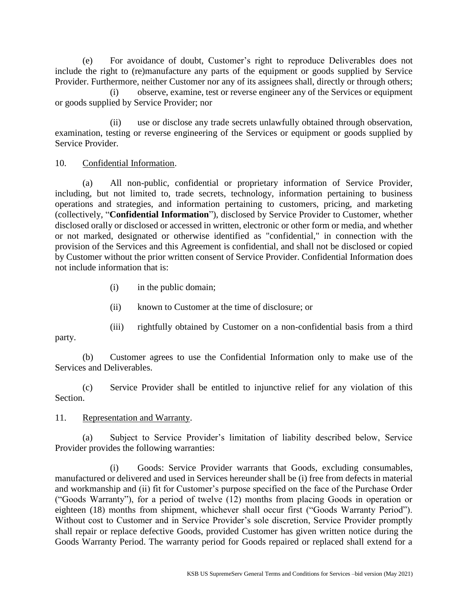(e) For avoidance of doubt, Customer's right to reproduce Deliverables does not include the right to (re)manufacture any parts of the equipment or goods supplied by Service Provider. Furthermore, neither Customer nor any of its assignees shall, directly or through others;

(i) observe, examine, test or reverse engineer any of the Services or equipment or goods supplied by Service Provider; nor

(ii) use or disclose any trade secrets unlawfully obtained through observation, examination, testing or reverse engineering of the Services or equipment or goods supplied by Service Provider.

#### 10. Confidential Information.

(a) All non-public, confidential or proprietary information of Service Provider, including, but not limited to, trade secrets, technology, information pertaining to business operations and strategies, and information pertaining to customers, pricing, and marketing (collectively, "**Confidential Information**"), disclosed by Service Provider to Customer, whether disclosed orally or disclosed or accessed in written, electronic or other form or media, and whether or not marked, designated or otherwise identified as "confidential," in connection with the provision of the Services and this Agreement is confidential, and shall not be disclosed or copied by Customer without the prior written consent of Service Provider. Confidential Information does not include information that is:

- (i) in the public domain;
- (ii) known to Customer at the time of disclosure; or
- (iii) rightfully obtained by Customer on a non-confidential basis from a third

party.

(b) Customer agrees to use the Confidential Information only to make use of the Services and Deliverables.

(c) Service Provider shall be entitled to injunctive relief for any violation of this Section.

## 11. Representation and Warranty.

(a) Subject to Service Provider's limitation of liability described below, Service Provider provides the following warranties:

(i) Goods: Service Provider warrants that Goods, excluding consumables, manufactured or delivered and used in Services hereunder shall be (i) free from defects in material and workmanship and (ii) fit for Customer's purpose specified on the face of the Purchase Order ("Goods Warranty"), for a period of twelve (12) months from placing Goods in operation or eighteen (18) months from shipment, whichever shall occur first ("Goods Warranty Period"). Without cost to Customer and in Service Provider's sole discretion, Service Provider promptly shall repair or replace defective Goods, provided Customer has given written notice during the Goods Warranty Period. The warranty period for Goods repaired or replaced shall extend for a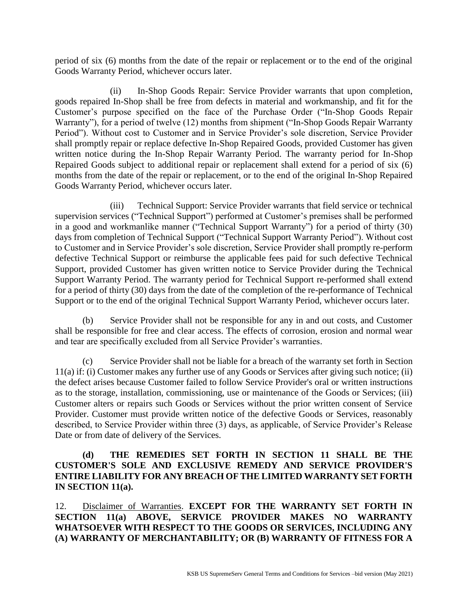period of six (6) months from the date of the repair or replacement or to the end of the original Goods Warranty Period, whichever occurs later.

(ii) In-Shop Goods Repair: Service Provider warrants that upon completion, goods repaired In-Shop shall be free from defects in material and workmanship, and fit for the Customer's purpose specified on the face of the Purchase Order ("In-Shop Goods Repair Warranty"), for a period of twelve (12) months from shipment ("In-Shop Goods Repair Warranty Period"). Without cost to Customer and in Service Provider's sole discretion, Service Provider shall promptly repair or replace defective In-Shop Repaired Goods, provided Customer has given written notice during the In-Shop Repair Warranty Period. The warranty period for In-Shop Repaired Goods subject to additional repair or replacement shall extend for a period of six (6) months from the date of the repair or replacement, or to the end of the original In-Shop Repaired Goods Warranty Period, whichever occurs later.

(iii) Technical Support: Service Provider warrants that field service or technical supervision services ("Technical Support") performed at Customer's premises shall be performed in a good and workmanlike manner ("Technical Support Warranty") for a period of thirty (30) days from completion of Technical Support ("Technical Support Warranty Period"). Without cost to Customer and in Service Provider's sole discretion, Service Provider shall promptly re-perform defective Technical Support or reimburse the applicable fees paid for such defective Technical Support, provided Customer has given written notice to Service Provider during the Technical Support Warranty Period. The warranty period for Technical Support re-performed shall extend for a period of thirty (30) days from the date of the completion of the re-performance of Technical Support or to the end of the original Technical Support Warranty Period, whichever occurs later.

(b) Service Provider shall not be responsible for any in and out costs, and Customer shall be responsible for free and clear access. The effects of corrosion, erosion and normal wear and tear are specifically excluded from all Service Provider's warranties.

(c) Service Provider shall not be liable for a breach of the warranty set forth in Section 11(a) if: (i) Customer makes any further use of any Goods or Services after giving such notice; (ii) the defect arises because Customer failed to follow Service Provider's oral or written instructions as to the storage, installation, commissioning, use or maintenance of the Goods or Services; (iii) Customer alters or repairs such Goods or Services without the prior written consent of Service Provider. Customer must provide written notice of the defective Goods or Services, reasonably described, to Service Provider within three (3) days, as applicable, of Service Provider's Release Date or from date of delivery of the Services.

## **(d) THE REMEDIES SET FORTH IN SECTION 11 SHALL BE THE CUSTOMER'S SOLE AND EXCLUSIVE REMEDY AND SERVICE PROVIDER'S ENTIRE LIABILITY FOR ANY BREACH OF THE LIMITED WARRANTY SET FORTH IN SECTION 11(a).**

12. Disclaimer of Warranties. **EXCEPT FOR THE WARRANTY SET FORTH IN SECTION 11(a) ABOVE, SERVICE PROVIDER MAKES NO WARRANTY WHATSOEVER WITH RESPECT TO THE GOODS OR SERVICES, INCLUDING ANY (A) WARRANTY OF MERCHANTABILITY; OR (B) WARRANTY OF FITNESS FOR A**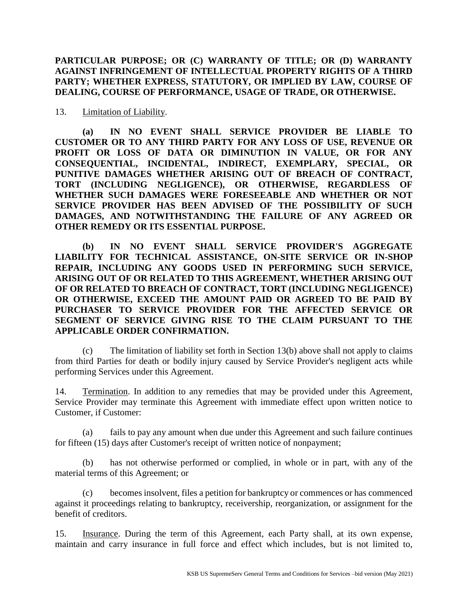## **PARTICULAR PURPOSE; OR (C) WARRANTY OF TITLE; OR (D) WARRANTY AGAINST INFRINGEMENT OF INTELLECTUAL PROPERTY RIGHTS OF A THIRD PARTY; WHETHER EXPRESS, STATUTORY, OR IMPLIED BY LAW, COURSE OF DEALING, COURSE OF PERFORMANCE, USAGE OF TRADE, OR OTHERWISE.**

13. Limitation of Liability.

**(a) IN NO EVENT SHALL SERVICE PROVIDER BE LIABLE TO CUSTOMER OR TO ANY THIRD PARTY FOR ANY LOSS OF USE, REVENUE OR PROFIT OR LOSS OF DATA OR DIMINUTION IN VALUE, OR FOR ANY CONSEQUENTIAL, INCIDENTAL, INDIRECT, EXEMPLARY, SPECIAL, OR PUNITIVE DAMAGES WHETHER ARISING OUT OF BREACH OF CONTRACT, TORT (INCLUDING NEGLIGENCE), OR OTHERWISE, REGARDLESS OF WHETHER SUCH DAMAGES WERE FORESEEABLE AND WHETHER OR NOT SERVICE PROVIDER HAS BEEN ADVISED OF THE POSSIBILITY OF SUCH DAMAGES, AND NOTWITHSTANDING THE FAILURE OF ANY AGREED OR OTHER REMEDY OR ITS ESSENTIAL PURPOSE.**

**(b) IN NO EVENT SHALL SERVICE PROVIDER'S AGGREGATE LIABILITY FOR TECHNICAL ASSISTANCE, ON-SITE SERVICE OR IN-SHOP REPAIR, INCLUDING ANY GOODS USED IN PERFORMING SUCH SERVICE, ARISING OUT OF OR RELATED TO THIS AGREEMENT, WHETHER ARISING OUT OF OR RELATED TO BREACH OF CONTRACT, TORT (INCLUDING NEGLIGENCE) OR OTHERWISE, EXCEED THE AMOUNT PAID OR AGREED TO BE PAID BY PURCHASER TO SERVICE PROVIDER FOR THE AFFECTED SERVICE OR SEGMENT OF SERVICE GIVING RISE TO THE CLAIM PURSUANT TO THE APPLICABLE ORDER CONFIRMATION.**

(c) The limitation of liability set forth in Section 13(b) above shall not apply to claims from third Parties for death or bodily injury caused by Service Provider's negligent acts while performing Services under this Agreement.

14. Termination. In addition to any remedies that may be provided under this Agreement, Service Provider may terminate this Agreement with immediate effect upon written notice to Customer, if Customer:

(a) fails to pay any amount when due under this Agreement and such failure continues for fifteen (15) days after Customer's receipt of written notice of nonpayment;

(b) has not otherwise performed or complied, in whole or in part, with any of the material terms of this Agreement; or

(c) becomes insolvent, files a petition for bankruptcy or commences or has commenced against it proceedings relating to bankruptcy, receivership, reorganization, or assignment for the benefit of creditors.

15. Insurance. During the term of this Agreement, each Party shall, at its own expense, maintain and carry insurance in full force and effect which includes, but is not limited to,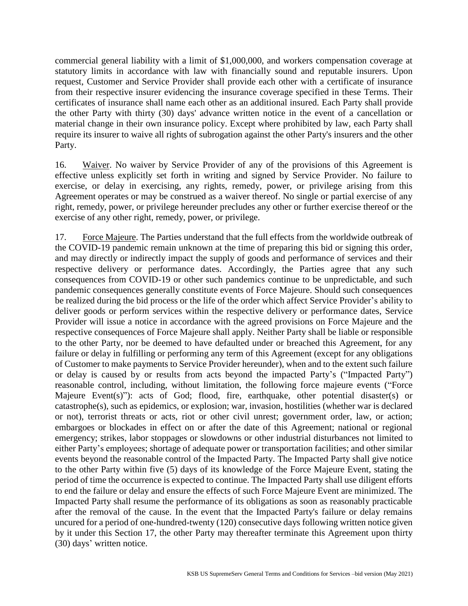commercial general liability with a limit of \$1,000,000, and workers compensation coverage at statutory limits in accordance with law with financially sound and reputable insurers. Upon request, Customer and Service Provider shall provide each other with a certificate of insurance from their respective insurer evidencing the insurance coverage specified in these Terms. Their certificates of insurance shall name each other as an additional insured. Each Party shall provide the other Party with thirty (30) days' advance written notice in the event of a cancellation or material change in their own insurance policy. Except where prohibited by law, each Party shall require its insurer to waive all rights of subrogation against the other Party's insurers and the other Party.

16. Waiver. No waiver by Service Provider of any of the provisions of this Agreement is effective unless explicitly set forth in writing and signed by Service Provider. No failure to exercise, or delay in exercising, any rights, remedy, power, or privilege arising from this Agreement operates or may be construed as a waiver thereof. No single or partial exercise of any right, remedy, power, or privilege hereunder precludes any other or further exercise thereof or the exercise of any other right, remedy, power, or privilege.

17. Force Majeure. The Parties understand that the full effects from the worldwide outbreak of the COVID-19 pandemic remain unknown at the time of preparing this bid or signing this order, and may directly or indirectly impact the supply of goods and performance of services and their respective delivery or performance dates. Accordingly, the Parties agree that any such consequences from COVID-19 or other such pandemics continue to be unpredictable, and such pandemic consequences generally constitute events of Force Majeure. Should such consequences be realized during the bid process or the life of the order which affect Service Provider's ability to deliver goods or perform services within the respective delivery or performance dates, Service Provider will issue a notice in accordance with the agreed provisions on Force Majeure and the respective consequences of Force Majeure shall apply. Neither Party shall be liable or responsible to the other Party, nor be deemed to have defaulted under or breached this Agreement, for any failure or delay in fulfilling or performing any term of this Agreement (except for any obligations of Customer to make payments to Service Provider hereunder), when and to the extent such failure or delay is caused by or results from acts beyond the impacted Party's ("Impacted Party") reasonable control, including, without limitation, the following force majeure events ("Force Majeure Event(s)"): acts of God; flood, fire, earthquake, other potential disaster(s) or catastrophe(s), such as epidemics, or explosion; war, invasion, hostilities (whether war is declared or not), terrorist threats or acts, riot or other civil unrest; government order, law, or action; embargoes or blockades in effect on or after the date of this Agreement; national or regional emergency; strikes, labor stoppages or slowdowns or other industrial disturbances not limited to either Party's employees; shortage of adequate power or transportation facilities; and other similar events beyond the reasonable control of the Impacted Party. The Impacted Party shall give notice to the other Party within five (5) days of its knowledge of the Force Majeure Event, stating the period of time the occurrence is expected to continue. The Impacted Party shall use diligent efforts to end the failure or delay and ensure the effects of such Force Majeure Event are minimized. The Impacted Party shall resume the performance of its obligations as soon as reasonably practicable after the removal of the cause. In the event that the Impacted Party's failure or delay remains uncured for a period of one-hundred-twenty (120) consecutive days following written notice given by it under this Section 17, the other Party may thereafter terminate this Agreement upon thirty (30) days' written notice.